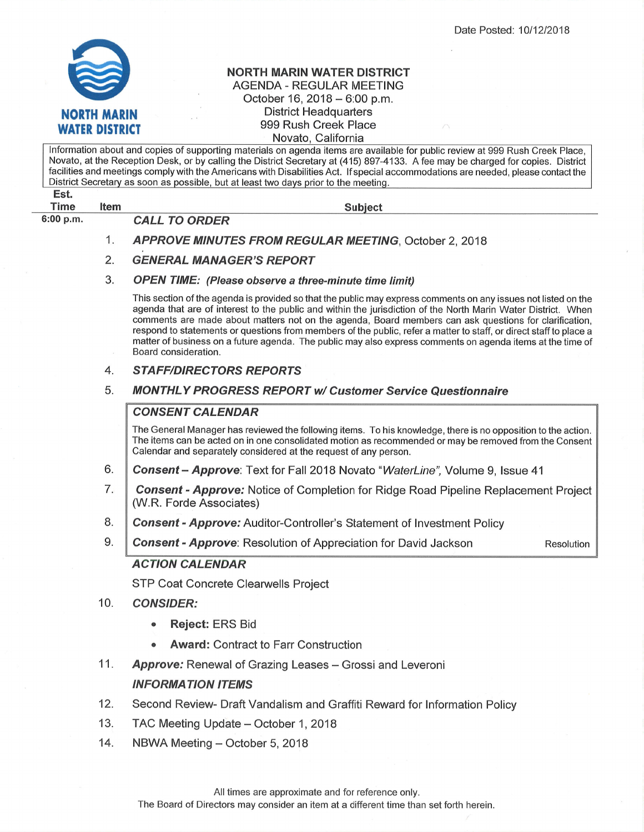

## NORTH MARIN WATER DISTRICT AGENDA - REGULAR MEETING October 16, 2018 - 6:00 p.m. District Headquarters 999 Rush Creek Place Novato, California

Subiect Est. Time Item Information about and copies of supporting materials on agenda items are available for public review at 999 Rush Creek Place, Novato, at the Reception Desk, or by calling the District Secretary at (415) 897-4133. A fee may be charged for copies. District facilities and meetings comply with the Americans with Disabilities Act. lf special accommodations are needed, please contact the District Secretary as soon as possible, but at least two days prior to the meeting. 6:00 p.m. CALL TO ORDER APPROVE MINUTES FROM REGULAR MEETING, October 2, 2018 **GENERAL MANAGER'S REPORT** OPEN TIME: (Please observe a three-minute time limit) This section of the agenda is provided so that the public may express comments on any issues not listed on the agenda that are of interest to the public and within the jurisdiction of the North Marin Water District. When comments are made about matters not on the agenda, Board members can ask questions for clarification, respond to statements or questions from members of the public, refer a matter to staff, or direct staff to place a matter of business on a future agenda. The public may also express comments on agenda items at the time of Board consideration. 4. STAFF/DIRECTORS REPORTS 5. MONTHLY PROGRESS REPORT w/ Customer Service Questionnaire **CONSENT CALENDAR** The General Manager has reviewed the following items. To his knowledge, there is no opposition to the action. The items can be acted on in one consolidated motion as recommended or may be removed from the Consent Calendar and separately considered at the request of any person. Consent - Approve: Text for Fall 2018 Novato "WaterLine", Volume 9, Issue 41 Consent - Approve: Notice of Completion for Ridge Road Pipeline Replacement Project (W.R. Forde Associates) **Consent - Approve:** Auditor-Controller's Statement of Investment Policy **Consent - Approve**: Resolution of Appreciation for David Jackson Resolution ACTION CALENDAR STP Coat Concrete Clearwells Project **CONSIDER:** Reject: ERS Bid . Award: Contract to Farr Construction Approve: Renewal of Grazing Leases - Grossi and Leveroni INFORMATION ITEMS Second Review- Draft Vandalism and Graffiti Reward for lnformation Policy TAC Meeting Update - October 1, 2018 1 2. 3 6. 7. 8. 9. 10 11 12. 13.

NBWA Meeting - October 5, 2018 14.